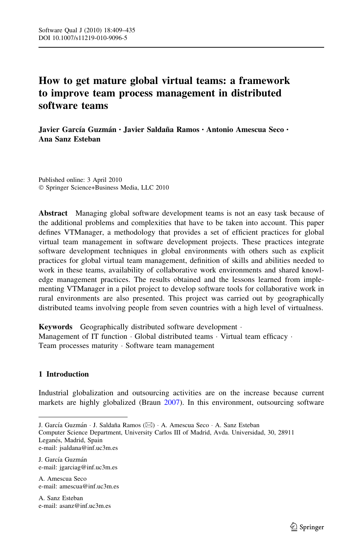# How to get mature global virtual teams: a framework to improve team process management in distributed software teams

Javier García Guzmán • Javier Saldaña Ramos • Antonio Amescua Seco • Ana Sanz Esteban

Published online: 3 April 2010 - Springer Science+Business Media, LLC 2010

Abstract Managing global software development teams is not an easy task because of the additional problems and complexities that have to be taken into account. This paper defines VTManager, a methodology that provides a set of efficient practices for global virtual team management in software development projects. These practices integrate software development techniques in global environments with others such as explicit practices for global virtual team management, definition of skills and abilities needed to work in these teams, availability of collaborative work environments and shared knowledge management practices. The results obtained and the lessons learned from implementing VTManager in a pilot project to develop software tools for collaborative work in rural environments are also presented. This project was carried out by geographically distributed teams involving people from seven countries with a high level of virtualness.

Keywords Geographically distributed software development . Management of IT function · Global distributed teams · Virtual team efficacy · Team processes maturity - Software team management

# 1 Introduction

Industrial globalization and outsourcing activities are on the increase because current markets are highly globalized (Braun [2007\)](#page-23-0). In this environment, outsourcing software

Computer Science Department, University Carlos III of Madrid, Avda. Universidad, 30, 28911 Leganés, Madrid, Spain e-mail: jsaldana@inf.uc3m.es

J. García Guzmán e-mail: jgarciag@inf.uc3m.es

A. Amescua Seco e-mail: amescua@inf.uc3m.es

A. Sanz Esteban e-mail: asanz@inf.uc3m.es

J. García Guzmán ∙ J. Saldaña Ramos (⊠) ∙ A. Amescua Seco ∙ A. Sanz Esteban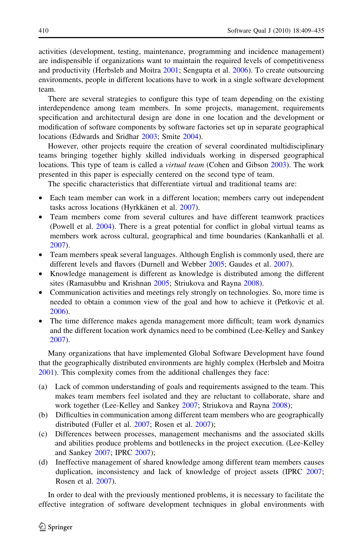activities (development, testing, maintenance, programming and incidence management) are indispensible if organizations want to maintain the required levels of competitiveness and productivity (Herbsleb and Moitra [2001;](#page-24-0) Sengupta et al. [2006\)](#page-25-0). To create outsourcing environments, people in different locations have to work in a single software development team.

There are several strategies to configure this type of team depending on the existing interdependence among team members. In some projects, management, requirements specification and architectural design are done in one location and the development or modification of software components by software factories set up in separate geographical locations (Edwards and Sridhar [2003](#page-24-0); Smite [2004](#page-25-0)).

However, other projects require the creation of several coordinated multidisciplinary teams bringing together highly skilled individuals working in dispersed geographical locations. This type of team is called a *virtual team* (Cohen and Gibson [2003\)](#page-23-0). The work presented in this paper is especially centered on the second type of team.

The specific characteristics that differentiate virtual and traditional teams are:

- Each team member can work in a different location; members carry out independent tasks across locations (Hyrkkänen et al. [2007\)](#page-24-0).
- Team members come from several cultures and have different teamwork practices (Powell et al. [2004](#page-24-0)). There is a great potential for conflict in global virtual teams as members work across cultural, geographical and time boundaries (Kankanhalli et al. [2007](#page-24-0)).
- Team members speak several languages. Although English is commonly used, there are different levels and flavors (Durnell and Webber [2005;](#page-24-0) Gaudes et al. [2007](#page-24-0)).
- Knowledge management is different as knowledge is distributed among the different sites (Ramasubbu and Krishnan [2005](#page-24-0); Striukova and Rayna [2008](#page-25-0)).
- Communication activities and meetings rely strongly on technologies. So, more time is needed to obtain a common view of the goal and how to achieve it (Petkovic et al. [2006](#page-24-0)).
- The time difference makes agenda management more difficult; team work dynamics and the different location work dynamics need to be combined (Lee-Kelley and Sankey [2007](#page-24-0)).

Many organizations that have implemented Global Software Development have found that the geographically distributed environments are highly complex (Herbsleb and Moitra [2001\)](#page-24-0). This complexity comes from the additional challenges they face:

- (a) Lack of common understanding of goals and requirements assigned to the team. This makes team members feel isolated and they are reluctant to collaborate, share and work together (Lee-Kelley and Sankey [2007;](#page-24-0) Striukova and Rayna [2008](#page-25-0));
- (b) Difficulties in communication among different team members who are geographically distributed (Fuller et al. [2007](#page-24-0); Rosen et al. [2007](#page-25-0));
- (c) Differences between processes, management mechanisms and the associated skills and abilities produce problems and bottlenecks in the project execution. (Lee-Kelley and Sankey [2007;](#page-24-0) IPRC [2007](#page-24-0));
- (d) Ineffective management of shared knowledge among different team members causes duplication, inconsistency and lack of knowledge of project assets (IPRC [2007;](#page-24-0) Rosen et al. [2007](#page-25-0)).

In order to deal with the previously mentioned problems, it is necessary to facilitate the effective integration of software development techniques in global environments with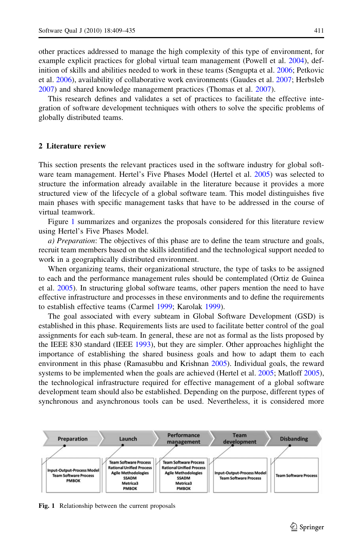other practices addressed to manage the high complexity of this type of environment, for example explicit practices for global virtual team management (Powell et al. [2004\)](#page-24-0), definition of skills and abilities needed to work in these teams (Sengupta et al. [2006](#page-25-0); Petkovic et al. [2006\)](#page-24-0), availability of collaborative work environments (Gaudes et al. [2007](#page-24-0); Herbsleb [2007\)](#page-24-0) and shared knowledge management practices (Thomas et al. [2007](#page-25-0)).

This research defines and validates a set of practices to facilitate the effective integration of software development techniques with others to solve the specific problems of globally distributed teams.

### 2 Literature review

This section presents the relevant practices used in the software industry for global software team management. Hertel's Five Phases Model (Hertel et al. [2005](#page-24-0)) was selected to structure the information already available in the literature because it provides a more structured view of the lifecycle of a global software team. This model distinguishes five main phases with specific management tasks that have to be addressed in the course of virtual teamwork.

Figure 1 summarizes and organizes the proposals considered for this literature review using Hertel's Five Phases Model.

a) Preparation: The objectives of this phase are to define the team structure and goals, recruit team members based on the skills identified and the technological support needed to work in a geographically distributed environment.

When organizing teams, their organizational structure, the type of tasks to be assigned to each and the performance management rules should be contemplated (Ortiz de Guinea et al. [2005](#page-24-0)). In structuring global software teams, other papers mention the need to have effective infrastructure and processes in these environments and to define the requirements to establish effective teams (Carmel [1999;](#page-23-0) Karolak [1999](#page-24-0)).

The goal associated with every subteam in Global Software Development (GSD) is established in this phase. Requirements lists are used to facilitate better control of the goal assignments for each sub-team. In general, these are not as formal as the lists proposed by the IEEE 830 standard (IEEE [1993\)](#page-24-0), but they are simpler. Other approaches highlight the importance of establishing the shared business goals and how to adapt them to each environment in this phase (Ramasubbu and Krishnan [2005\)](#page-24-0). Individual goals, the reward systems to be implemented when the goals are achieved (Hertel et al. [2005;](#page-24-0) Matloff [2005](#page-24-0)), the technological infrastructure required for effective management of a global software development team should also be established. Depending on the purpose, different types of synchronous and asynchronous tools can be used. Nevertheless, it is considered more



Fig. 1 Relationship between the current proposals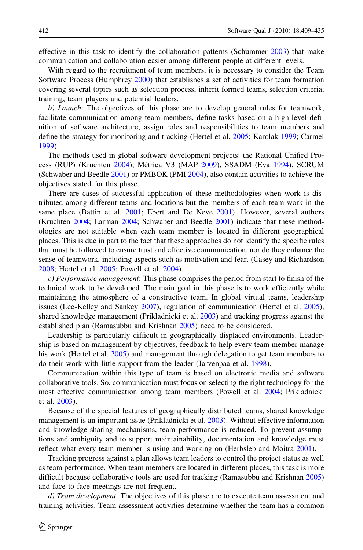effective in this task to identify the collaboration patterns (Schümmer  $2003$ ) that make communication and collaboration easier among different people at different levels.

With regard to the recruitment of team members, it is necessary to consider the Team Software Process (Humphrey [2000\)](#page-24-0) that establishes a set of activities for team formation covering several topics such as selection process, inherit formed teams, selection criteria, training, team players and potential leaders.

b) Launch: The objectives of this phase are to develop general rules for teamwork, facilitate communication among team members, define tasks based on a high-level definition of software architecture, assign roles and responsibilities to team members and define the strategy for monitoring and tracking (Hertel et al. [2005](#page-24-0); Karolak [1999](#page-24-0); Carmel [1999\)](#page-23-0).

The methods used in global software development projects: the Rational Unified Pro-cess (RUP) (Kruchten [2004\)](#page-24-0), Métrica V3 (MAP [2009\)](#page-24-0), SSADM (Eva [1994\)](#page-24-0), SCRUM (Schwaber and Beedle [2001\)](#page-25-0) or PMBOK (PMI [2004\)](#page-24-0), also contain activities to achieve the objectives stated for this phase.

There are cases of successful application of these methodologies when work is distributed among different teams and locations but the members of each team work in the same place (Battin et al. [2001](#page-23-0); Ebert and De Neve [2001](#page-24-0)). However, several authors (Kruchten [2004;](#page-24-0) Larman [2004](#page-24-0); Schwaber and Beedle [2001](#page-25-0)) indicate that these methodologies are not suitable when each team member is located in different geographical places. This is due in part to the fact that these approaches do not identify the specific rules that must be followed to ensure trust and effective communication, nor do they enhance the sense of teamwork, including aspects such as motivation and fear. (Casey and Richardson [2008;](#page-23-0) Hertel et al. [2005;](#page-24-0) Powell et al. [2004](#page-24-0)).

c) Performance management: This phase comprises the period from start to finish of the technical work to be developed. The main goal in this phase is to work efficiently while maintaining the atmosphere of a constructive team. In global virtual teams, leadership issues (Lee-Kelley and Sankey [2007\)](#page-24-0), regulation of communication (Hertel et al. [2005](#page-24-0)), shared knowledge management (Prikladnicki et al. [2003](#page-24-0)) and tracking progress against the established plan (Ramasubbu and Krishnan [2005](#page-24-0)) need to be considered.

Leadership is particularly difficult in geographically displaced environments. Leadership is based on management by objectives, feedback to help every team member manage his work (Hertel et al. [2005](#page-24-0)) and management through delegation to get team members to do their work with little support from the leader (Jarvenpaa et al. [1998](#page-24-0)).

Communication within this type of team is based on electronic media and software collaborative tools. So, communication must focus on selecting the right technology for the most effective communication among team members (Powell et al. [2004](#page-24-0); Prikladnicki et al. [2003](#page-24-0)).

Because of the special features of geographically distributed teams, shared knowledge management is an important issue (Prikladnicki et al. [2003\)](#page-24-0). Without effective information and knowledge-sharing mechanisms, team performance is reduced. To prevent assumptions and ambiguity and to support maintainability, documentation and knowledge must reflect what every team member is using and working on (Herbsleb and Moitra [2001\)](#page-24-0).

Tracking progress against a plan allows team leaders to control the project status as well as team performance. When team members are located in different places, this task is more difficult because collaborative tools are used for tracking (Ramasubbu and Krishnan [2005](#page-24-0)) and face-to-face meetings are not frequent.

d) Team development: The objectives of this phase are to execute team assessment and training activities. Team assessment activities determine whether the team has a common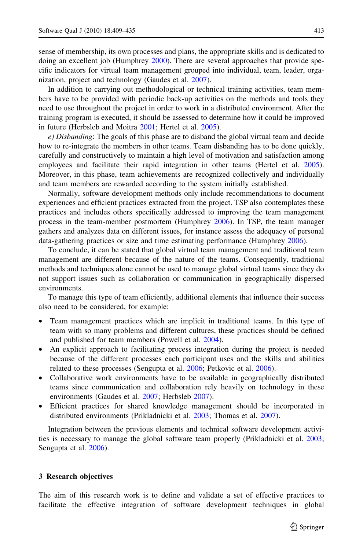sense of membership, its own processes and plans, the appropriate skills and is dedicated to doing an excellent job (Humphrey [2000](#page-24-0)). There are several approaches that provide specific indicators for virtual team management grouped into individual, team, leader, organization, project and technology (Gaudes et al. [2007\)](#page-24-0).

In addition to carrying out methodological or technical training activities, team members have to be provided with periodic back-up activities on the methods and tools they need to use throughout the project in order to work in a distributed environment. After the training program is executed, it should be assessed to determine how it could be improved in future (Herbsleb and Moitra [2001](#page-24-0); Hertel et al. [2005](#page-24-0)).

e) Disbanding: The goals of this phase are to disband the global virtual team and decide how to re-integrate the members in other teams. Team disbanding has to be done quickly, carefully and constructively to maintain a high level of motivation and satisfaction among employees and facilitate their rapid integration in other teams (Hertel et al. [2005](#page-24-0)). Moreover, in this phase, team achievements are recognized collectively and individually and team members are rewarded according to the system initially established.

Normally, software development methods only include recommendations to document experiences and efficient practices extracted from the project. TSP also contemplates these practices and includes others specifically addressed to improving the team management process in the team-member postmortem (Humphrey [2006](#page-24-0)). In TSP, the team manager gathers and analyzes data on different issues, for instance assess the adequacy of personal data-gathering practices or size and time estimating performance (Humphrey [2006](#page-24-0)).

To conclude, it can be stated that global virtual team management and traditional team management are different because of the nature of the teams. Consequently, traditional methods and techniques alone cannot be used to manage global virtual teams since they do not support issues such as collaboration or communication in geographically dispersed environments.

To manage this type of team efficiently, additional elements that influence their success also need to be considered, for example:

- Team management practices which are implicit in traditional teams. In this type of team with so many problems and different cultures, these practices should be defined and published for team members (Powell et al. [2004](#page-24-0)).
- An explicit approach to facilitating process integration during the project is needed because of the different processes each participant uses and the skills and abilities related to these processes (Sengupta et al. [2006](#page-25-0); Petkovic et al. [2006\)](#page-24-0).
- Collaborative work environments have to be available in geographically distributed teams since communication and collaboration rely heavily on technology in these environments (Gaudes et al. [2007](#page-24-0); Herbsleb [2007\)](#page-24-0).
- Efficient practices for shared knowledge management should be incorporated in distributed environments (Prikladnicki et al. [2003](#page-24-0); Thomas et al. [2007](#page-25-0)).

Integration between the previous elements and technical software development activities is necessary to manage the global software team properly (Prikladnicki et al. [2003;](#page-24-0) Sengupta et al. [2006\)](#page-25-0).

#### 3 Research objectives

The aim of this research work is to define and validate a set of effective practices to facilitate the effective integration of software development techniques in global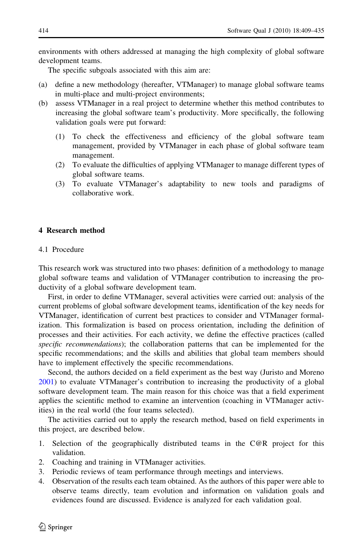environments with others addressed at managing the high complexity of global software development teams.

The specific subgoals associated with this aim are:

- (a) define a new methodology (hereafter, VTManager) to manage global software teams in multi-place and multi-project environments;
- (b) assess VTManager in a real project to determine whether this method contributes to increasing the global software team's productivity. More specifically, the following validation goals were put forward:
	- (1) To check the effectiveness and efficiency of the global software team management, provided by VTManager in each phase of global software team management.
	- (2) To evaluate the difficulties of applying VTManager to manage different types of global software teams.
	- (3) To evaluate VTManager's adaptability to new tools and paradigms of collaborative work.

#### 4 Research method

### 4.1 Procedure

This research work was structured into two phases: definition of a methodology to manage global software teams and validation of VTManager contribution to increasing the productivity of a global software development team.

First, in order to define VTManager, several activities were carried out: analysis of the current problems of global software development teams, identification of the key needs for VTManager, identification of current best practices to consider and VTManager formalization. This formalization is based on process orientation, including the definition of processes and their activities. For each activity, we define the effective practices (called specific recommendations); the collaboration patterns that can be implemented for the specific recommendations; and the skills and abilities that global team members should have to implement effectively the specific recommendations.

Second, the authors decided on a field experiment as the best way (Juristo and Moreno [2001\)](#page-24-0) to evaluate VTManager's contribution to increasing the productivity of a global software development team. The main reason for this choice was that a field experiment applies the scientific method to examine an intervention (coaching in VTManager activities) in the real world (the four teams selected).

The activities carried out to apply the research method, based on field experiments in this project, are described below.

- 1. Selection of the geographically distributed teams in the C@R project for this validation.
- 2. Coaching and training in VTManager activities.
- 3. Periodic reviews of team performance through meetings and interviews.
- 4. Observation of the results each team obtained. As the authors of this paper were able to observe teams directly, team evolution and information on validation goals and evidences found are discussed. Evidence is analyzed for each validation goal.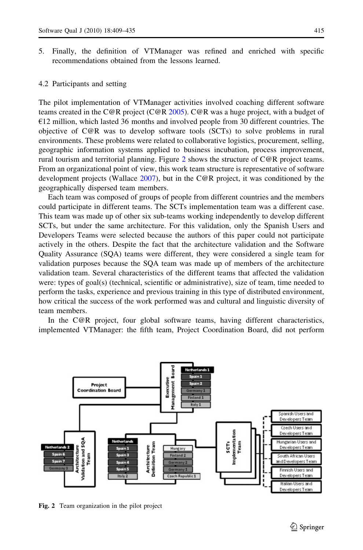5. Finally, the definition of VTManager was refined and enriched with specific recommendations obtained from the lessons learned.

### 4.2 Participants and setting

The pilot implementation of VTManager activities involved coaching different software teams created in the C@R project (C@R [2005](#page-23-0)). C@R was a huge project, with a budget of  $E$ 12 million, which lasted 36 months and involved people from 30 different countries. The objective of C@R was to develop software tools (SCTs) to solve problems in rural environments. These problems were related to collaborative logistics, procurement, selling, geographic information systems applied to business incubation, process improvement, rural tourism and territorial planning. Figure 2 shows the structure of C@R project teams. From an organizational point of view, this work team structure is representative of software development projects (Wallace [2007\)](#page-25-0), but in the C@R project, it was conditioned by the geographically dispersed team members.

Each team was composed of groups of people from different countries and the members could participate in different teams. The SCTs implementation team was a different case. This team was made up of other six sub-teams working independently to develop different SCTs, but under the same architecture. For this validation, only the Spanish Users and Developers Teams were selected because the authors of this paper could not participate actively in the others. Despite the fact that the architecture validation and the Software Quality Assurance (SQA) teams were different, they were considered a single team for validation purposes because the SQA team was made up of members of the architecture validation team. Several characteristics of the different teams that affected the validation were: types of goal(s) (technical, scientific or administrative), size of team, time needed to perform the tasks, experience and previous training in this type of distributed environment, how critical the success of the work performed was and cultural and linguistic diversity of team members.

In the C@R project, four global software teams, having different characteristics, implemented VTManager: the fifth team, Project Coordination Board, did not perform



Fig. 2 Team organization in the pilot project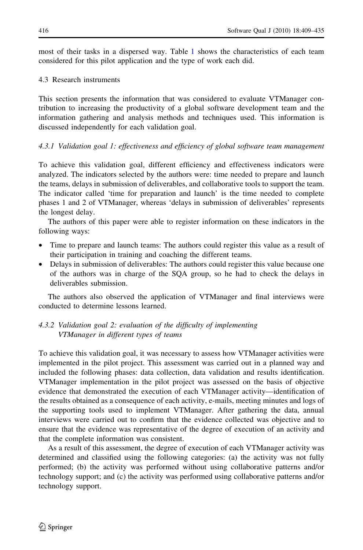most of their tasks in a dispersed way. Table [1](#page-8-0) shows the characteristics of each team considered for this pilot application and the type of work each did.

### 4.3 Research instruments

This section presents the information that was considered to evaluate VTManager contribution to increasing the productivity of a global software development team and the information gathering and analysis methods and techniques used. This information is discussed independently for each validation goal.

### 4.3.1 Validation goal 1: effectiveness and efficiency of global software team management

To achieve this validation goal, different efficiency and effectiveness indicators were analyzed. The indicators selected by the authors were: time needed to prepare and launch the teams, delays in submission of deliverables, and collaborative tools to support the team. The indicator called 'time for preparation and launch' is the time needed to complete phases 1 and 2 of VTManager, whereas 'delays in submission of deliverables' represents the longest delay.

The authors of this paper were able to register information on these indicators in the following ways:

- Time to prepare and launch teams: The authors could register this value as a result of their participation in training and coaching the different teams.
- Delays in submission of deliverables: The authors could register this value because one of the authors was in charge of the SQA group, so he had to check the delays in deliverables submission.

The authors also observed the application of VTManager and final interviews were conducted to determine lessons learned.

# 4.3.2 Validation goal 2: evaluation of the difficulty of implementing VTManager in different types of teams

To achieve this validation goal, it was necessary to assess how VTManager activities were implemented in the pilot project. This assessment was carried out in a planned way and included the following phases: data collection, data validation and results identification. VTManager implementation in the pilot project was assessed on the basis of objective evidence that demonstrated the execution of each VTManager activity—identification of the results obtained as a consequence of each activity, e-mails, meeting minutes and logs of the supporting tools used to implement VTManager. After gathering the data, annual interviews were carried out to confirm that the evidence collected was objective and to ensure that the evidence was representative of the degree of execution of an activity and that the complete information was consistent.

As a result of this assessment, the degree of execution of each VTManager activity was determined and classified using the following categories: (a) the activity was not fully performed; (b) the activity was performed without using collaborative patterns and/or technology support; and (c) the activity was performed using collaborative patterns and/or technology support.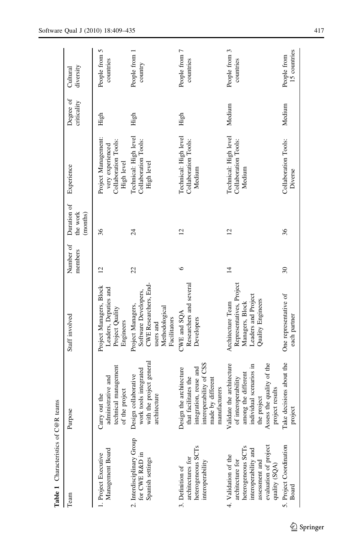<span id="page-8-0"></span>

| Table 1 Characteristics of C@R                                                                                                                     | teams                                                                                                                                                             |                                                                                                                   |                      |                                     |                                                                               |                          |                             |
|----------------------------------------------------------------------------------------------------------------------------------------------------|-------------------------------------------------------------------------------------------------------------------------------------------------------------------|-------------------------------------------------------------------------------------------------------------------|----------------------|-------------------------------------|-------------------------------------------------------------------------------|--------------------------|-----------------------------|
| Team                                                                                                                                               | Purpose                                                                                                                                                           | Staff involved                                                                                                    | Number of<br>members | Duration of<br>the work<br>(months) | Experience                                                                    | Degree of<br>criticality | diversity<br>Cultural       |
| Management Board<br>. Project Executive                                                                                                            | technical management<br>administrative and<br>of the project<br>Carry out the                                                                                     | Project Managers, Block<br>Leaders, Deputies and<br>Project Quality<br>Engineers                                  | $\overline{c}$       | 36                                  | Project Management:<br>Collaboration Tools:<br>very experienced<br>High level | High                     | People from 5<br>countries  |
| 2. Interdisciplinary Group<br>for CWE R&D in<br>Spanish settings                                                                                   | with the project general<br>work tools integrated<br>Design collaborative<br>architecture                                                                         | CWE Researchers, End-<br>Software Developers.<br>Project Managers,<br>Methodological<br>Facilitators<br>users and | 22                   | $\overline{24}$                     | Technical: High level<br>Collaboration Tools:<br>High level                   | High                     | People from 1<br>country    |
| heterogeneous SCTs<br>architectures for<br>interoperability<br>3. Definition of                                                                    | integration, reuse and<br>interoperability of CSS<br>Design the architecture<br>that facilitates the<br>made by different<br>manufacturers                        | Researchers and several<br>CWE and SQA<br>Developers                                                              | $\circ$              | $\overline{2}$                      | Technical: High level<br>Collaboration Tools:<br>Medium                       | High                     | People from 7<br>countries  |
| evaluation of project<br>heterogeneous SCTs<br>interoperability and<br>4. Validation of the<br>architecture for<br>assessment and<br>quality (SQA) | Validate the architecture<br>Assess the quality of the<br>individual scenarios in<br>among the different<br>of interoperability<br>project results<br>the project | Representatives, Project<br>Leaders and Project<br>Quality Engineers<br>Architecture Team<br>Managers, Block      | $\overline{14}$      | $\overline{2}$                      | Technical: High level<br>Collaboration Tools:<br>Medium                       | Medium                   | People from 3<br>countries  |
| 5. Project Coordination<br>Board                                                                                                                   | Take decisions about the<br>project                                                                                                                               | One representative of<br>each partner                                                                             | $\overline{30}$      | 36                                  | Collaboration Tools:<br>Diverse                                               | Medium                   | 15 countries<br>People from |
|                                                                                                                                                    |                                                                                                                                                                   |                                                                                                                   |                      |                                     |                                                                               |                          |                             |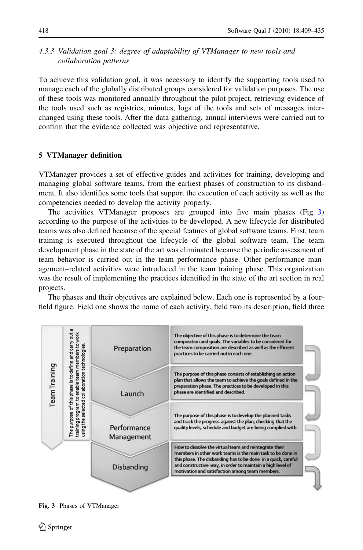# <span id="page-9-0"></span>4.3.3 Validation goal 3: degree of adaptability of VTManager to new tools and collaboration patterns

To achieve this validation goal, it was necessary to identify the supporting tools used to manage each of the globally distributed groups considered for validation purposes. The use of these tools was monitored annually throughout the pilot project, retrieving evidence of the tools used such as registries, minutes, logs of the tools and sets of messages interchanged using these tools. After the data gathering, annual interviews were carried out to confirm that the evidence collected was objective and representative.

# 5 VTManager definition

VTManager provides a set of effective guides and activities for training, developing and managing global software teams, from the earliest phases of construction to its disbandment. It also identifies some tools that support the execution of each activity as well as the competencies needed to develop the activity properly.

The activities VTManager proposes are grouped into five main phases (Fig. 3) according to the purpose of the activities to be developed. A new lifecycle for distributed teams was also defined because of the special features of global software teams. First, team training is executed throughout the lifecycle of the global software team. The team development phase in the state of the art was eliminated because the periodic assessment of team behavior is carried out in the team performance phase. Other performance management–related activities were introduced in the team training phase. This organization was the result of implementing the practices identified in the state of the art section in real projects.

The phases and their objectives are explained below. Each one is represented by a fourfield figure. Field one shows the name of each activity, field two its description, field three



Fig. 3 Phases of VTManager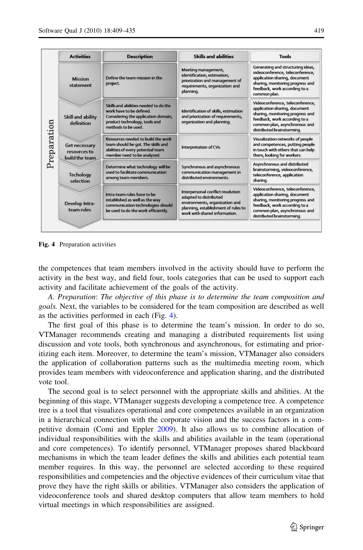|             | <b>Activities</b>                                      | <b>Description</b>                                                                                                                                               | <b>Skills and abilities</b>                                                                                                                                           | <b>Tools</b>                                                                                                                                                                                          |
|-------------|--------------------------------------------------------|------------------------------------------------------------------------------------------------------------------------------------------------------------------|-----------------------------------------------------------------------------------------------------------------------------------------------------------------------|-------------------------------------------------------------------------------------------------------------------------------------------------------------------------------------------------------|
|             | <b>Mission</b><br>statement                            | Define the team mission in the<br>project.                                                                                                                       | Meeting management;<br>identification, estimation,<br>priorization and management of<br>requirements, organization and<br>planning.                                   | Generating and structuring ideas,<br>videoconference, teleconference,<br>application sharing, document<br>sharing, monitoring progress and<br>feedback, work according to a<br>common plan.           |
|             | Skill and ability<br>definition                        | Skills and abilities needed to do the<br>work have to be defined.<br>Considering the application domain,<br>product technology, tools and<br>methods to be used. | Identification of skills, estimation<br>and priorization of requirements,<br>organization and planning.                                                               | Videoconference, teleconference,<br>application sharing, document<br>sharing, monitoring progress and<br>feedback, work according to a<br>common plan, asynchronous and<br>distributed brainstorming. |
| Preparation | <b>Get necessary</b><br>resources to<br>build the team | Resources needed to build the work<br>team should be got. The skills and<br>abilities of every potential team<br>member need to be analyzed.                     | Interpretation of CVs.                                                                                                                                                | Visualization networks of people<br>and competences, putting people<br>in touch with others that can help<br>them, looking for workers.                                                               |
|             | <b>Techology</b><br>selection                          | Determine what technology will be<br>used to facilitate communication<br>among team members.                                                                     | Synchronous and asynchronous<br>communication management in<br>distributed environments.                                                                              | Asynchronous and distributed<br>brainstorming, videoconference,<br>teleconference, application<br>sharing.                                                                                            |
|             | Develop Intra-<br>team rules                           | Intra-team rules have to be<br>established as well as the way<br>communication technologies should<br>be used to do the work efficiently.                        | Interpersonal conflict resolution<br>adapted to distributed<br>environments, organization and<br>planning, establishment of rules to<br>work with shared information. | Videoconference, teleconference,<br>application sharing, document<br>sharing, monitoring progress and<br>feedback, work according to a<br>common plan, asynchronous and<br>distributed brainstorming. |

Fig. 4 Preparation activities

the competences that team members involved in the activity should have to perform the activity in the best way, and field four, tools categories that can be used to support each activity and facilitate achievement of the goals of the activity.

A. Preparation: The objective of this phase is to determine the team composition and goals. Next, the variables to be considered for the team composition are described as well as the activities performed in each (Fig. 4).

The first goal of this phase is to determine the team's mission. In order to do so, VTManager recommends creating and managing a distributed requirements list using discussion and vote tools, both synchronous and asynchronous, for estimating and prioritizing each item. Moreover, to determine the team's mission, VTManager also considers the application of collaboration patterns such as the multimedia meeting room, which provides team members with videoconference and application sharing, and the distributed vote tool.

The second goal is to select personnel with the appropriate skills and abilities. At the beginning of this stage, VTManager suggests developing a competence tree. A competence tree is a tool that visualizes operational and core competences available in an organization in a hierarchical connection with the corporate vision and the success factors in a competitive domain (Comi and Eppler [2009\)](#page-23-0). It also allows us to combine allocation of individual responsibilities with the skills and abilities available in the team (operational and core competences). To identify personnel, VTManager proposes shared blackboard mechanisms in which the team leader defines the skills and abilities each potential team member requires. In this way, the personnel are selected according to these required responsibilities and competencies and the objective evidences of their curriculum vitae that prove they have the right skills or abilities. VTManager also considers the application of videoconference tools and shared desktop computers that allow team members to hold virtual meetings in which responsibilities are assigned.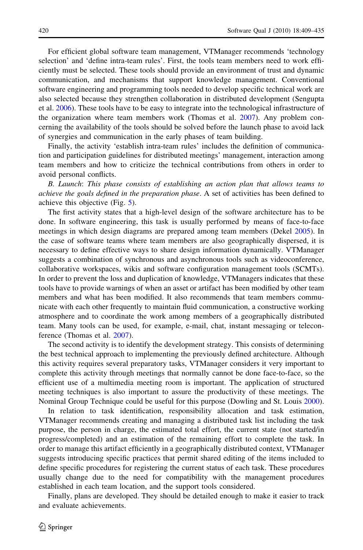For efficient global software team management, VTManager recommends 'technology selection' and 'define intra-team rules'. First, the tools team members need to work efficiently must be selected. These tools should provide an environment of trust and dynamic communication, and mechanisms that support knowledge management. Conventional software engineering and programming tools needed to develop specific technical work are also selected because they strengthen collaboration in distributed development (Sengupta et al. [2006\)](#page-25-0). These tools have to be easy to integrate into the technological infrastructure of the organization where team members work (Thomas et al. [2007](#page-25-0)). Any problem concerning the availability of the tools should be solved before the launch phase to avoid lack of synergies and communication in the early phases of team building.

Finally, the activity 'establish intra-team rules' includes the definition of communication and participation guidelines for distributed meetings' management, interaction among team members and how to criticize the technical contributions from others in order to avoid personal conflicts.

B. Launch: This phase consists of establishing an action plan that allows teams to achieve the goals defined in the preparation phase. A set of activities has been defined to achieve this objective (Fig. [5\)](#page-12-0).

The first activity states that a high-level design of the software architecture has to be done. In software engineering, this task is usually performed by means of face-to-face meetings in which design diagrams are prepared among team members (Dekel [2005\)](#page-24-0). In the case of software teams where team members are also geographically dispersed, it is necessary to define effective ways to share design information dynamically. VTManager suggests a combination of synchronous and asynchronous tools such as videoconference, collaborative workspaces, wikis and software configuration management tools (SCMTs). In order to prevent the loss and duplication of knowledge, VTManagers indicates that these tools have to provide warnings of when an asset or artifact has been modified by other team members and what has been modified. It also recommends that team members communicate with each other frequently to maintain fluid communication, a constructive working atmosphere and to coordinate the work among members of a geographically distributed team. Many tools can be used, for example, e-mail, chat, instant messaging or teleconference (Thomas et al. [2007](#page-25-0)).

The second activity is to identify the development strategy. This consists of determining the best technical approach to implementing the previously defined architecture. Although this activity requires several preparatory tasks, VTManager considers it very important to complete this activity through meetings that normally cannot be done face-to-face, so the efficient use of a multimedia meeting room is important. The application of structured meeting techniques is also important to assure the productivity of these meetings. The Nominal Group Technique could be useful for this purpose (Dowling and St. Louis [2000](#page-24-0)).

In relation to task identification, responsibility allocation and task estimation, VTManager recommends creating and managing a distributed task list including the task purpose, the person in charge, the estimated total effort, the current state (not started/in progress/completed) and an estimation of the remaining effort to complete the task. In order to manage this artifact efficiently in a geographically distributed context, VTManager suggests introducing specific practices that permit shared editing of the items included to define specific procedures for registering the current status of each task. These procedures usually change due to the need for compatibility with the management procedures established in each team location, and the support tools considered.

Finally, plans are developed. They should be detailed enough to make it easier to track and evaluate achievements.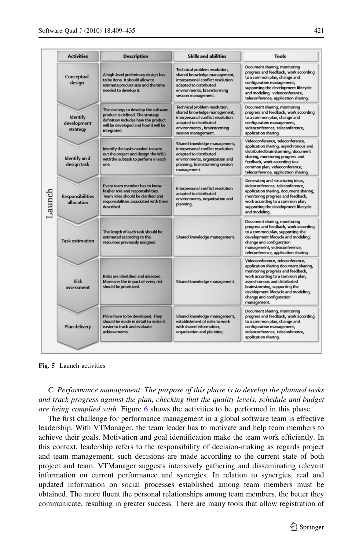<span id="page-12-0"></span>

|        | <b>Activities</b>                          | <b>Description</b>                                                                                                                                                     | <b>Skills and abilities</b>                                                                                                                                                                | <b>Tools</b>                                                                                                                                                                                                                                                                                          |
|--------|--------------------------------------------|------------------------------------------------------------------------------------------------------------------------------------------------------------------------|--------------------------------------------------------------------------------------------------------------------------------------------------------------------------------------------|-------------------------------------------------------------------------------------------------------------------------------------------------------------------------------------------------------------------------------------------------------------------------------------------------------|
| Launch | Conceptual<br>design                       | A high-level preliminary design has<br>to be done. It should allow to<br>estimate product size and the time<br>needed to develop it.                                   | Technical problem resolution,<br>shared knowledge management,<br>interpersonal conflict resolution<br>adapted to distributed<br>environments, brainstorming<br>session management.         | Document sharing, monitoring<br>progress and feedback, work according<br>to a common plan, change and<br>configuration management,<br>supporting the development lifecycle<br>and modeling, videoconference,<br>teleconference, application sharing.                                                  |
|        | <b>Identify</b><br>development<br>strategy | The strategy to develop the software<br>product is defined. The strategy<br>definition includes how the product<br>will be developed and how it will be<br>integrated. | <b>Technical problem resolution,</b><br>shared knowledge management,<br>interpersonal conflict resolution<br>adapted to distributed<br>environments., brainstorming<br>session management. | Document sharing, monitoring<br>progress and feedback, work according<br>to a common plan, change and<br>configuration management,<br>videoconference, teleconference,<br>application sharing.                                                                                                        |
|        | Identify and<br>design task                | Identify the tasks needed to carry<br>out the project and design the WBS<br>with the subtask to perform in each<br>one.                                                | Shared knowledge management,<br>interpersonal conflict resolution<br>adapted to distributed<br>environments, organization and<br>planning, brainstorming session<br>management.            | Videoconference, teleconference,<br>application sharing, asynchronous and<br>distributed brainstorming, document<br>sharing, monitoring progress and<br>feedback, work according to a<br>common plan, videoconference,<br>teleconference, application sharing.                                        |
|        | <b>Responsibilities</b><br>allocation      | Every team member has to know<br>his/her role and responsibilities.<br>Team roles should be clarified and<br>responsibilities associated with them<br>described.       | Interpersonal conflict resolution<br>adapted to distributed<br>environments, organization and<br>planning.                                                                                 | Generating and structuring ideas,<br>videoconference, teleconference,<br>application sharing, document sharing,<br>monitoring progress and feedback,<br>work according to a common plan,<br>supporting the development lifecycle<br>and modeling.                                                     |
|        | <b>Task estimation</b>                     | The length of each task should be<br>estimated according to the<br>resources previously assigned.                                                                      | Shared knowledge management.                                                                                                                                                               | Document sharing, monitoring<br>progress and feedback, work according<br>to a common plan, supporting the<br>development lifecycle and modeling,<br>change and configuration<br>management, videoconference,<br>teleconference, application sharing.                                                  |
|        | <b>Risk</b><br>assessment                  | Risks are identified and assessed.<br>Moreover the impact of every risk<br>should be prioritized.                                                                      | Shared knowledge management.                                                                                                                                                               | Videoconference, teleconference,<br>application sharing document sharing,<br>monitoring progress and feedback,<br>work according to a common plan,<br>asynchronous and distributed<br>brainstorming, supporting the<br>development lifecycle and modeling,<br>change and configuration<br>management. |
|        | Plan delivery                              | Plans have to be developed. They<br>should be made in detail to make it<br>easier to track and evaluate<br>achievements.                                               | Shared knowledge management,<br>establishment of rules to work<br>with shared information.<br>organization and planning.                                                                   | Document sharing, monitoring<br>progress and feedback, work according<br>to a common plan, change and<br>configuration management,<br>videoconference, teleconference,<br>application sharing.                                                                                                        |

Fig. 5 Launch activities

C. Performance management: The purpose of this phase is to develop the planned tasks and track progress against the plan, checking that the quality levels, schedule and budget are being complied with. Figure [6](#page-13-0) shows the activities to be performed in this phase.

The first challenge for performance management in a global software team is effective leadership. With VTManager, the team leader has to motivate and help team members to achieve their goals. Motivation and goal identification make the team work efficiently. In this context, leadership refers to the responsibility of decision-making as regards project and team management; such decisions are made according to the current state of both project and team. VTManager suggests intensively gathering and disseminating relevant information on current performance and synergies. In relation to synergies, real and updated information on social processes established among team members must be obtained. The more fluent the personal relationships among team members, the better they communicate, resulting in greater success. There are many tools that allow registration of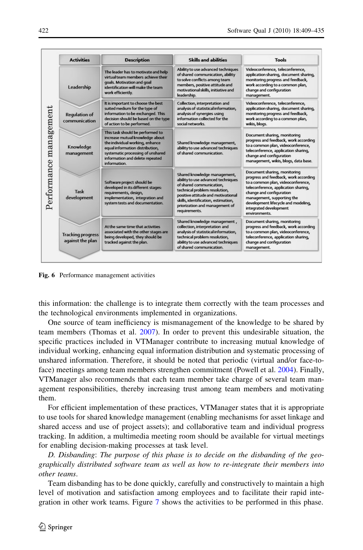<span id="page-13-0"></span>

| <b>Activities</b>                            | <b>Description</b>                                                                                                                                                                                                                | <b>Skills and abilities</b>                                                                                                                                                                                                                                     | <b>Tools</b>                                                                                                                                                                                                                                                                                    |
|----------------------------------------------|-----------------------------------------------------------------------------------------------------------------------------------------------------------------------------------------------------------------------------------|-----------------------------------------------------------------------------------------------------------------------------------------------------------------------------------------------------------------------------------------------------------------|-------------------------------------------------------------------------------------------------------------------------------------------------------------------------------------------------------------------------------------------------------------------------------------------------|
| Leadership                                   | The leader has to motivate and help<br>virtual team members achieve their<br>goals. Motivation and goal<br>identification will make the team<br>work efficiently.                                                                 | Ability to use advanced techniques<br>of shared communication, ability<br>to solve conflicts among team<br>members, positive attitude and<br>motivational skills, initiative and<br>leadership.                                                                 | Videoconference, teleconference,<br>application sharing, document sharing,<br>monitoring progress and feedback,<br>work according to a common plan,<br>change and configuration<br>management.                                                                                                  |
| <b>Regulation of</b><br>communication        | It is important to choose the best<br>suited medium for the type of<br>information to be exchanged. This<br>decision should be based on the type<br>of action to be performed.                                                    | Collection, interpretation and<br>analysis of statistical information,<br>analysis of synergies using<br>information collected for the<br>social networks.                                                                                                      | Videoconference, teleconference,<br>application sharing, document sharing,<br>monitoring progress and feedback,<br>work according to a common plan,<br>wikis, blogs.                                                                                                                            |
| Knowledge<br>management                      | This task should be performed to<br>increase mutual knowledge about<br>the individual working, enhance<br>equal information distribution.<br>systematic processing of unshared<br>information and delete repeated<br>information. | Shared knowledge management,<br>ability to use advanced techniques<br>of shared communication.                                                                                                                                                                  | Document sharing, monitoring<br>progress and feedback, work according<br>to a common plan, videoconference,<br>teleconference, application sharing,<br>change and configuration<br>management, wikis, blogs, data base.                                                                         |
| Task<br>development                          | Software project should be<br>developed in its different stages:<br>requirements, design,<br>implementation, integration and<br>system tests and documentation.                                                                   | Shared knowledge management,<br>ability to use advanced techniques<br>of shared communication,<br>technical problem resolution,<br>positive attitude and motivational<br>skills, identification, estimation,<br>priorization and management of<br>requirements. | Document sharing, monitoring<br>progress and feedback, work according<br>to a common plan, videoconference,<br>teleconference, application sharing,<br>change and configuration<br>management, supporting the<br>development lifecycle and modeling.<br>integrated development<br>environments. |
| <b>Tracking progress</b><br>against the plan | At the same time that activities<br>associated with the other stages are<br>being developed, they should be<br>tracked against the plan.                                                                                          | Shared knowledge management,<br>collection, interpretation and<br>analysis of statistical information,<br>technical problem resolution,<br>ability to use advanced techniques<br>of shared communication.                                                       | Document sharing, monitoring<br>progress and feedback, work according<br>to a common plan, videoconference,<br>teleconference, application sharing,<br>change and configuration<br>management.                                                                                                  |

Fig. 6 Performance management activities

this information: the challenge is to integrate them correctly with the team processes and the technological environments implemented in organizations.

One source of team inefficiency is mismanagement of the knowledge to be shared by team members (Thomas et al. [2007](#page-25-0)). In order to prevent this undesirable situation, the specific practices included in VTManager contribute to increasing mutual knowledge of individual working, enhancing equal information distribution and systematic processing of unshared information. Therefore, it should be noted that periodic (virtual and/or face-toface) meetings among team members strengthen commitment (Powell et al. [2004](#page-24-0)). Finally, VTManager also recommends that each team member take charge of several team management responsibilities, thereby increasing trust among team members and motivating them.

For efficient implementation of these practices, VTManager states that it is appropriate to use tools for shared knowledge management (enabling mechanisms for asset linkage and shared access and use of project assets); and collaborative team and individual progress tracking. In addition, a multimedia meeting room should be available for virtual meetings for enabling decision-making processes at task level.

D. Disbanding: The purpose of this phase is to decide on the disbanding of the geographically distributed software team as well as how to re-integrate their members into other teams.

Team disbanding has to be done quickly, carefully and constructively to maintain a high level of motivation and satisfaction among employees and to facilitate their rapid integration in other work teams. Figure [7](#page-14-0) shows the activities to be performed in this phase.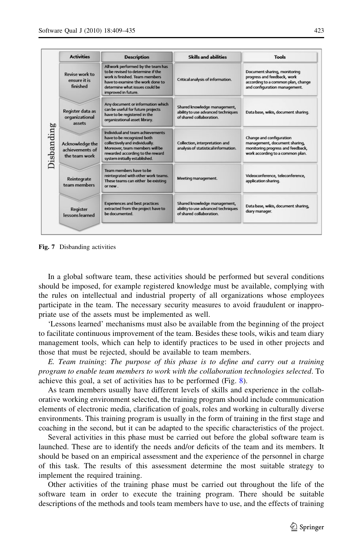<span id="page-14-0"></span>

|            | <b>Activities</b>                                   | <b>Description</b>                                                                                                                                                                                      | <b>Skills and abilities</b>                                                                    | <b>Tools</b>                                                                                                                       |
|------------|-----------------------------------------------------|---------------------------------------------------------------------------------------------------------------------------------------------------------------------------------------------------------|------------------------------------------------------------------------------------------------|------------------------------------------------------------------------------------------------------------------------------------|
| Disbanding | <b>Revise work to</b><br>ensure it is<br>finished   | All work performed by the team has<br>to be revised to determine if the<br>work is finished. Team members<br>have to examine the work done to<br>determine what issues could be<br>improved in future.  | Critical analysis of information.                                                              | Document sharing, monitoring<br>progress and feedback, work<br>according to a common plan, change<br>and configuration management. |
|            | <b>Register data as</b><br>organizational<br>assets | Any document or information which<br>can be useful for future projects<br>have to be registered in the<br>organizational asset library.                                                                 | Shared knowledge management,<br>ability to use advanced techniques<br>of shared collaboration. | Data base, wikis, document sharing.                                                                                                |
|            | Acknowledge the<br>achievements of<br>the team work | Individual and team achievements<br>have to be recognized both<br>collectively and individually.<br>Moreover, team members will be<br>rewarded according to the reward<br>system initially established. | Collection, interpretation and<br>analysis of statistical information.                         | Change and configuration<br>management, document sharing,<br>monitoring progress and feedback,<br>work according to a common plan. |
|            | Reintegrate<br>team members                         | Team members have to be<br>reintegrated with other work teams.<br>These teams can either be existing<br>or new.                                                                                         | Meeting management.                                                                            | Videoconference, teleconference,<br>application sharing.                                                                           |
|            | <b>Register</b><br>lessons learned                  | <b>Experiences and best practices</b><br>extracted from the project have to<br>be documented                                                                                                            | Shared knowledge management,<br>ability to use advanced techniques<br>of shared collaboration. | Data base, wikis, document sharing,<br>diary manager.                                                                              |

Fig. 7 Disbanding activities

In a global software team, these activities should be performed but several conditions should be imposed, for example registered knowledge must be available, complying with the rules on intellectual and industrial property of all organizations whose employees participate in the team. The necessary security measures to avoid fraudulent or inappropriate use of the assets must be implemented as well.

'Lessons learned' mechanisms must also be available from the beginning of the project to facilitate continuous improvement of the team. Besides these tools, wikis and team diary management tools, which can help to identify practices to be used in other projects and those that must be rejected, should be available to team members.

E. Team training: The purpose of this phase is to define and carry out a training program to enable team members to work with the collaboration technologies selected. To achieve this goal, a set of activities has to be performed (Fig. [8](#page-15-0)).

As team members usually have different levels of skills and experience in the collaborative working environment selected, the training program should include communication elements of electronic media, clarification of goals, roles and working in culturally diverse environments. This training program is usually in the form of training in the first stage and coaching in the second, but it can be adapted to the specific characteristics of the project.

Several activities in this phase must be carried out before the global software team is launched. These are to identify the needs and/or deficits of the team and its members. It should be based on an empirical assessment and the experience of the personnel in charge of this task. The results of this assessment determine the most suitable strategy to implement the required training.

Other activities of the training phase must be carried out throughout the life of the software team in order to execute the training program. There should be suitable descriptions of the methods and tools team members have to use, and the effects of training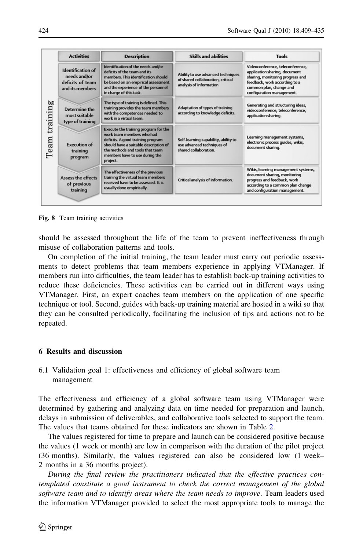<span id="page-15-0"></span>

|                  | <b>Activities</b>                                                        | <b>Description</b>                                                                                                                                                                                                               | <b>Skills and abilities</b>                                                                        | <b>Tools</b>                                                                                                                                                                                   |
|------------------|--------------------------------------------------------------------------|----------------------------------------------------------------------------------------------------------------------------------------------------------------------------------------------------------------------------------|----------------------------------------------------------------------------------------------------|------------------------------------------------------------------------------------------------------------------------------------------------------------------------------------------------|
| training<br>Team | Identification of<br>needs and/or<br>deficits of team<br>and its members | Identification of the needs and/or<br>deficits of the team and its<br>members. This identification should<br>be based on an empirical assessment<br>and the experience of the personnel<br>in charge of this task.               | Ability to use advanced techniques<br>of shared collaboration, critical<br>analysis of information | Videoconference, teleconference,<br>application sharing, document<br>sharing, monitoring progress and<br>feedback, work according to a<br>common plan, change and<br>configuration management. |
|                  | Determine the<br>most suitable<br>type of training                       | The type of training is defined. This<br>training provides the team members<br>with the competences needed to<br>work in a virtual team.                                                                                         | Adaptation of types of training<br>according to knowledge deficits.                                | Generating and structuring ideas,<br>videoconference, teleconference,<br>application sharing.                                                                                                  |
|                  | <b>Execution of</b><br>training<br>program                               | Execute the training program for the<br>work team members who had<br>deficits. A good training program<br>should have a suitable description of<br>the methods and tools that team<br>members have to use during the<br>project. | Self-learning capability, ability to<br>use advanced techniques of<br>shared collaboration.        | Learning management systems,<br>electronic process quides, wikis,<br>document sharing.                                                                                                         |
|                  | <b>Assess the effects</b><br>of previous<br>training                     | The effectiveness of the previous<br>training the virtual team members<br>received have to be assessed. It is<br>usually done empirically.                                                                                       | Critical analysis of information.                                                                  | Wikis, learning management systems,<br>document sharing, monitoring<br>progress and feedback, work<br>according to a common plan change<br>and configuration management.                       |

Fig. 8 Team training activities

should be assessed throughout the life of the team to prevent ineffectiveness through misuse of collaboration patterns and tools.

On completion of the initial training, the team leader must carry out periodic assessments to detect problems that team members experience in applying VTManager. If members run into difficulties, the team leader has to establish back-up training activities to reduce these deficiencies. These activities can be carried out in different ways using VTManager. First, an expert coaches team members on the application of one specific technique or tool. Second, guides with back-up training material are hosted in a wiki so that they can be consulted periodically, facilitating the inclusion of tips and actions not to be repeated.

# 6 Results and discussion

6.1 Validation goal 1: effectiveness and efficiency of global software team management

The effectiveness and efficiency of a global software team using VTManager were determined by gathering and analyzing data on time needed for preparation and launch, delays in submission of deliverables, and collaborative tools selected to support the team. The values that teams obtained for these indicators are shown in Table [2.](#page-16-0)

The values registered for time to prepare and launch can be considered positive because the values (1 week or month) are low in comparison with the duration of the pilot project (36 months). Similarly, the values registered can also be considered low (1 week– 2 months in a 36 months project).

During the final review the practitioners indicated that the effective practices contemplated constitute a good instrument to check the correct management of the global software team and to identify areas where the team needs to improve. Team leaders used the information VTManager provided to select the most appropriate tools to manage the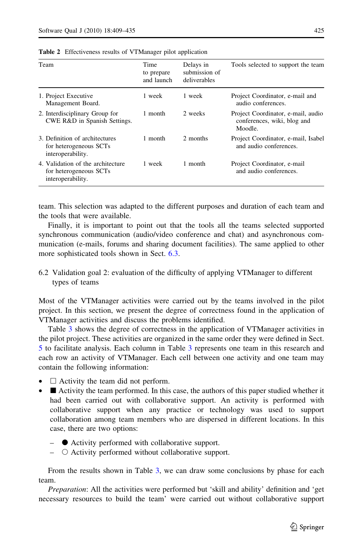| Team                                                                             | Time<br>to prepare<br>and launch | Delays in<br>submission of<br>deliverables | Tools selected to support the team                                           |
|----------------------------------------------------------------------------------|----------------------------------|--------------------------------------------|------------------------------------------------------------------------------|
| 1. Project Executive<br>Management Board.                                        | 1 week                           | 1 week                                     | Project Coordinator, e-mail and<br>audio conferences.                        |
| 2. Interdisciplinary Group for<br>CWE R&D in Spanish Settings.                   | 1 month                          | 2 weeks                                    | Project Coordinator, e-mail, audio<br>conferences, wiki, blog and<br>Moodle. |
| 3. Definition of architectures<br>for heterogeneous SCTs<br>interoperability.    | 1 month                          | 2 months                                   | Project Coordinator, e-mail, Isabel<br>and audio conferences.                |
| 4. Validation of the architecture<br>for heterogeneous SCTs<br>interoperability. | 1 week                           | 1 month                                    | Project Coordinator, e-mail<br>and audio conferences.                        |

<span id="page-16-0"></span>Table 2 Effectiveness results of VTManager pilot application

team. This selection was adapted to the different purposes and duration of each team and the tools that were available.

Finally, it is important to point out that the tools all the teams selected supported synchronous communication (audio/video conference and chat) and asynchronous communication (e-mails, forums and sharing document facilities). The same applied to other more sophisticated tools shown in Sect. [6.3.](#page-19-0)

6.2 Validation goal 2: evaluation of the difficulty of applying VTManager to different types of teams

Most of the VTManager activities were carried out by the teams involved in the pilot project. In this section, we present the degree of correctness found in the application of VTManager activities and discuss the problems identified.

Table [3](#page-17-0) shows the degree of correctness in the application of VTManager activities in the pilot project. These activities are organized in the same order they were defined in Sect. [5](#page-9-0) to facilitate analysis. Each column in Table [3](#page-17-0) represents one team in this research and each row an activity of VTManager. Each cell between one activity and one team may contain the following information:

- $\Box$  Activity the team did not perform.
- $\blacksquare$  Activity the team performed. In this case, the authors of this paper studied whether it had been carried out with collaborative support. An activity is performed with collaborative support when any practice or technology was used to support collaboration among team members who are dispersed in different locations. In this case, there are two options:
	- d Activity performed with collaborative support.
	- $\circ$  Activity performed without collaborative support.

From the results shown in Table [3](#page-17-0), we can draw some conclusions by phase for each team.

Preparation: All the activities were performed but 'skill and ability' definition and 'get necessary resources to build the team' were carried out without collaborative support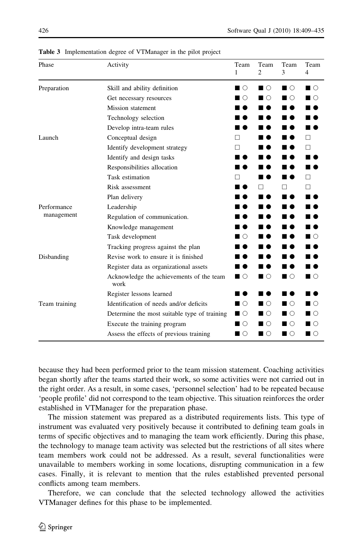Team 3

Team 4

Team 2

1

Get necessary resources  $\blacksquare$   $\bigcirc$   $\blacksquare$   $\bigcirc$   $\blacksquare$   $\bigcirc$   $\blacksquare$   $\bigcirc$   $\blacksquare$   $\bigcirc$ Mission statement  $\blacksquare$   $\blacksquare$   $\blacksquare$   $\blacksquare$   $\blacksquare$   $\blacksquare$   $\blacksquare$   $\blacksquare$   $\blacksquare$   $\blacksquare$   $\blacksquare$   $\blacksquare$   $\blacksquare$   $\blacksquare$   $\blacksquare$   $\blacksquare$   $\blacksquare$   $\blacksquare$   $\blacksquare$   $\blacksquare$   $\blacksquare$   $\blacksquare$   $\blacksquare$   $\blacksquare$   $\blacksquare$   $\blacksquare$   $\blacksquare$   $\blacksquare$   $\blacksquare$  Technology selection  $\blacksquare \bullet \blacksquare \bullet \blacksquare \bullet \blacksquare \bullet \blacksquare \bullet$ Develop intra-team rules  $\blacksquare$   $\blacksquare$   $\blacksquare$   $\blacksquare$   $\blacksquare$   $\blacksquare$   $\blacksquare$   $\blacksquare$   $\blacksquare$   $\blacksquare$   $\blacksquare$   $\blacksquare$   $\blacksquare$   $\blacksquare$   $\blacksquare$   $\blacksquare$   $\blacksquare$   $\blacksquare$   $\blacksquare$   $\blacksquare$   $\blacksquare$   $\blacksquare$   $\blacksquare$   $\blacksquare$   $\blacksquare$   $\blacksquare$   $\blacksquare$   $\blacksquare$ 

Identify development strategy  $\Box$   $\Box$ Identify and design tasks  $\blacksquare$   $\blacksquare$   $\blacksquare$   $\blacksquare$   $\blacksquare$   $\blacksquare$   $\blacksquare$   $\blacksquare$   $\blacksquare$   $\blacksquare$   $\blacksquare$   $\blacksquare$ Responsibilities allocation  $\blacksquare$   $\blacksquare$   $\blacksquare$   $\blacksquare$   $\blacksquare$   $\blacksquare$   $\blacksquare$   $\blacksquare$   $\blacksquare$   $\blacksquare$   $\blacksquare$   $\blacksquare$   $\blacksquare$   $\blacksquare$   $\blacksquare$   $\blacksquare$   $\blacksquare$   $\blacksquare$   $\blacksquare$   $\blacksquare$   $\blacksquare$   $\blacksquare$   $\blacksquare$   $\blacksquare$   $\blacksquare$   $\blacksquare$   $\blacksquare$   $\blacks$ Task estimation  $\Box$   $\Box$   $\Box$   $\Box$ Risk assessment  $\blacksquare$ Plan delivery  $\blacksquare$   $\blacksquare$   $\blacksquare$   $\blacksquare$   $\blacksquare$   $\blacksquare$   $\blacksquare$   $\blacksquare$   $\blacksquare$   $\blacksquare$   $\blacksquare$   $\blacksquare$   $\blacksquare$   $\blacksquare$   $\blacksquare$   $\blacksquare$   $\blacksquare$   $\blacksquare$   $\blacksquare$   $\blacksquare$   $\blacksquare$   $\blacksquare$   $\blacksquare$   $\blacksquare$   $\blacksquare$   $\blacksquare$   $\blacksquare$   $\blacksquare$   $\blacksquare$   $\blacks$ 

Leadership **die in die staat van die klaak van die klaak van die klaak van die klaak van die klaak van die kla<br>Gebeure** Regulation of communication.  $\blacksquare \blacklozenge \blacksquare \blacklozenge \blacksquare \blacklozenge \blacksquare \blacklozenge \blacksquare \blacklozenge$ Knowledge management  $\blacksquare \blacklozenge \blacksquare \blacklozenge \blacksquare \blacklozenge \blacksquare \blacklozenge \blacksquare \blacklozenge$ 

|                               | Task development                                                                                                                                                                                                                                                                                                                                       | $\bigcirc$            |                           |                           | $\bigcirc$                |
|-------------------------------|--------------------------------------------------------------------------------------------------------------------------------------------------------------------------------------------------------------------------------------------------------------------------------------------------------------------------------------------------------|-----------------------|---------------------------|---------------------------|---------------------------|
|                               | Tracking progress against the plan                                                                                                                                                                                                                                                                                                                     |                       |                           |                           |                           |
| Disbanding                    | Revise work to ensure it is finished                                                                                                                                                                                                                                                                                                                   | ∎ ●                   | ∎ ●                       | ॱ●                        | . .                       |
|                               | Register data as organizational assets                                                                                                                                                                                                                                                                                                                 | . .                   |                           |                           | . .                       |
|                               | Acknowledge the achievements of the team<br>work                                                                                                                                                                                                                                                                                                       | $\blacksquare$        | $\bigcirc$                | $\overline{\phantom{0}}$  | $\overline{\phantom{0}}$  |
|                               | Register lessons learned                                                                                                                                                                                                                                                                                                                               |                       |                           |                           | ∎ 6                       |
| Team training                 | Identification of needs and/or deficits                                                                                                                                                                                                                                                                                                                | $\blacksquare$ $\cap$ | $\blacksquare$ $\bigcirc$ | $\blacksquare$ $\bigcirc$ | $\blacksquare$ $\bigcirc$ |
|                               | Determine the most suitable type of training                                                                                                                                                                                                                                                                                                           | $\blacksquare$        | $\blacksquare$            | $\blacksquare$ $\bigcirc$ | $\blacksquare$            |
|                               | Execute the training program                                                                                                                                                                                                                                                                                                                           | $\blacksquare$ $\cap$ | $\blacksquare$ $\bigcirc$ | $\blacksquare$ $\bigcirc$ | $\blacksquare$ $\bigcirc$ |
|                               | Assess the effects of previous training                                                                                                                                                                                                                                                                                                                | ■ ○                   | $\blacksquare$ $\bigcirc$ | $\blacksquare$ $\bigcirc$ | $\blacksquare$ $\bigcirc$ |
|                               | began shortly after the teams started their work, so some activities were not carried out in<br>the right order. As a result, in some cases, 'personnel selection' had to be repeated because<br>'people profile' did not correspond to the team objective. This situation reinforces the order<br>established in VTManager for the preparation phase. |                       |                           |                           |                           |
|                               | The mission statement was prepared as a distributed requirements lists. This type of                                                                                                                                                                                                                                                                   |                       |                           |                           |                           |
|                               | instrument was evaluated very positively because it contributed to defining team goals in                                                                                                                                                                                                                                                              |                       |                           |                           |                           |
|                               | terms of specific objectives and to managing the team work efficiently. During this phase,                                                                                                                                                                                                                                                             |                       |                           |                           |                           |
|                               |                                                                                                                                                                                                                                                                                                                                                        |                       |                           |                           |                           |
|                               | the technology to manage team activity was selected but the restrictions of all sites where                                                                                                                                                                                                                                                            |                       |                           |                           |                           |
|                               | team members work could not be addressed. As a result, several functionalities were                                                                                                                                                                                                                                                                    |                       |                           |                           |                           |
|                               | unavailable to members working in some locations, disrupting communication in a few                                                                                                                                                                                                                                                                    |                       |                           |                           |                           |
| conflicts among team members. | cases. Finally, it is relevant to mention that the rules established prevented personal                                                                                                                                                                                                                                                                |                       |                           |                           |                           |

<span id="page-17-0"></span>Table 3 Implementation degree of VTManager in the pilot project

Phase Activity Activity Team

**Preparation** Skill and ability definition  $\blacksquare$   $\square$   $\blacksquare$   $\square$   $\blacksquare$   $\square$   $\blacksquare$   $\square$   $\blacksquare$   $\square$   $\blacksquare$   $\square$ 

Launch Conceptual design  $\Box$ 

Therefore, we can conclude that the selected technology allowed the activities VTManager defines for this phase to be implemented.

Performance management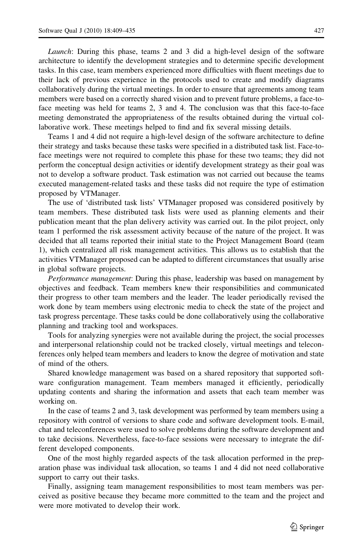Launch: During this phase, teams 2 and 3 did a high-level design of the software architecture to identify the development strategies and to determine specific development tasks. In this case, team members experienced more difficulties with fluent meetings due to their lack of previous experience in the protocols used to create and modify diagrams collaboratively during the virtual meetings. In order to ensure that agreements among team members were based on a correctly shared vision and to prevent future problems, a face-toface meeting was held for teams 2, 3 and 4. The conclusion was that this face-to-face meeting demonstrated the appropriateness of the results obtained during the virtual collaborative work. These meetings helped to find and fix several missing details.

Teams 1 and 4 did not require a high-level design of the software architecture to define their strategy and tasks because these tasks were specified in a distributed task list. Face-toface meetings were not required to complete this phase for these two teams; they did not perform the conceptual design activities or identify development strategy as their goal was not to develop a software product. Task estimation was not carried out because the teams executed management-related tasks and these tasks did not require the type of estimation proposed by VTManager.

The use of 'distributed task lists' VTManager proposed was considered positively by team members. These distributed task lists were used as planning elements and their publication meant that the plan delivery activity was carried out. In the pilot project, only team 1 performed the risk assessment activity because of the nature of the project. It was decided that all teams reported their initial state to the Project Management Board (team 1), which centralized all risk management activities. This allows us to establish that the activities VTManager proposed can be adapted to different circumstances that usually arise in global software projects.

Performance management: During this phase, leadership was based on management by objectives and feedback. Team members knew their responsibilities and communicated their progress to other team members and the leader. The leader periodically revised the work done by team members using electronic media to check the state of the project and task progress percentage. These tasks could be done collaboratively using the collaborative planning and tracking tool and workspaces.

Tools for analyzing synergies were not available during the project, the social processes and interpersonal relationship could not be tracked closely, virtual meetings and teleconferences only helped team members and leaders to know the degree of motivation and state of mind of the others.

Shared knowledge management was based on a shared repository that supported software configuration management. Team members managed it efficiently, periodically updating contents and sharing the information and assets that each team member was working on.

In the case of teams 2 and 3, task development was performed by team members using a repository with control of versions to share code and software development tools. E-mail, chat and teleconferences were used to solve problems during the software development and to take decisions. Nevertheless, face-to-face sessions were necessary to integrate the different developed components.

One of the most highly regarded aspects of the task allocation performed in the preparation phase was individual task allocation, so teams 1 and 4 did not need collaborative support to carry out their tasks.

Finally, assigning team management responsibilities to most team members was perceived as positive because they became more committed to the team and the project and were more motivated to develop their work.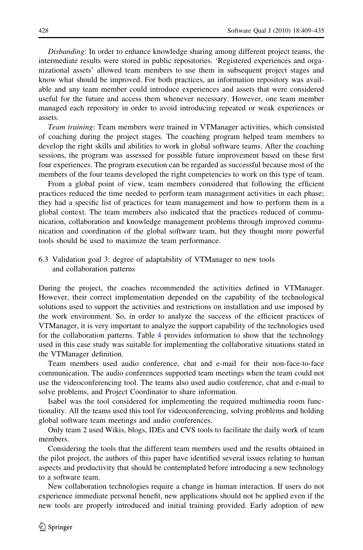<span id="page-19-0"></span>Disbanding: In order to enhance knowledge sharing among different project teams, the intermediate results were stored in public repositories. 'Registered experiences and organizational assets' allowed team members to use them in subsequent project stages and know what should be improved. For both practices, an information repository was available and any team member could introduce experiences and assets that were considered useful for the future and access them whenever necessary. However, one team member managed each repository in order to avoid introducing repeated or weak experiences or assets.

Team training: Team members were trained in VTManager activities, which consisted of coaching during the project stages. The coaching program helped team members to develop the right skills and abilities to work in global software teams. After the coaching sessions, the program was assessed for possible future improvement based on these first four experiences. The program execution can be regarded as successful because most of the members of the four teams developed the right competencies to work on this type of team.

From a global point of view, team members considered that following the efficient practices reduced the time needed to perform team management activities in each phase; they had a specific list of practices for team management and how to perform them in a global context. The team members also indicated that the practices reduced of communication, collaboration and knowledge management problems through improved communication and coordination of the global software team, but they thought more powerful tools should be used to maximize the team performance.

6.3 Validation goal 3: degree of adaptability of VTManager to new tools and collaboration patterns

During the project, the coaches recommended the activities defined in VTManager. However, their correct implementation depended on the capability of the technological solutions used to support the activities and restrictions on installation and use imposed by the work environment. So, in order to analyze the success of the efficient practices of VTManager, it is very important to analyze the support capability of the technologies used for the collaboration patterns. Table [4](#page-20-0) provides information to show that the technology used in this case study was suitable for implementing the collaborative situations stated in the VTManager definition.

Team members used audio conference, chat and e-mail for their non-face-to-face communication. The audio conferences supported team meetings when the team could not use the videoconferencing tool. The teams also used audio conference, chat and e-mail to solve problems, and Project Coordinator to share information.

Isabel was the tool considered for implementing the required multimedia room functionality. All the teams used this tool for videoconferencing, solving problems and holding global software team meetings and audio conferences.

Only team 2 used Wikis, blogs, IDEs and CVS tools to facilitate the daily work of team members.

Considering the tools that the different team members used and the results obtained in the pilot project, the authors of this paper have identified several issues relating to human aspects and productivity that should be contemplated before introducing a new technology to a software team.

New collaboration technologies require a change in human interaction. If users do not experience immediate personal benefit, new applications should not be applied even if the new tools are properly introduced and initial training provided. Early adoption of new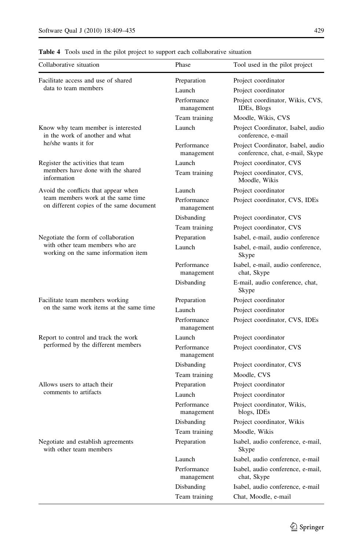| Collaborative situation                                                        | Phase                     | Tool used in the pilot project                                        |
|--------------------------------------------------------------------------------|---------------------------|-----------------------------------------------------------------------|
| Facilitate access and use of shared                                            | Preparation               | Project coordinator                                                   |
| data to team members                                                           | Launch                    | Project coordinator                                                   |
|                                                                                | Performance<br>management | Project coordinator, Wikis, CVS,<br>IDEs, Blogs                       |
|                                                                                | Team training             | Moodle, Wikis, CVS                                                    |
| Know why team member is interested<br>in the work of another and what          | Launch                    | Project Coordinator, Isabel, audio<br>conference, e-mail              |
| he/she wants it for                                                            | Performance<br>management | Project Coordinator, Isabel, audio<br>conference, chat, e-mail, Skype |
| Register the activities that team                                              | Launch                    | Project coordinator, CVS                                              |
| members have done with the shared<br>information                               | Team training             | Project coordinator, CVS,<br>Moodle, Wikis                            |
| Avoid the conflicts that appear when                                           | Launch                    | Project coordinator                                                   |
| team members work at the same time<br>on different copies of the same document | Performance<br>management | Project coordinator, CVS, IDEs                                        |
|                                                                                | Disbanding                | Project coordinator, CVS                                              |
|                                                                                | Team training             | Project coordinator, CVS                                              |
| Negotiate the form of collaboration                                            | Preparation               | Isabel, e-mail, audio conference                                      |
| with other team members who are<br>working on the same information item        | Launch                    | Isabel, e-mail, audio conference,<br>Skype                            |
|                                                                                | Performance<br>management | Isabel, e-mail, audio conference,<br>chat, Skype                      |
|                                                                                | Disbanding                | E-mail, audio conference, chat,<br>Skype                              |
| Facilitate team members working                                                | Preparation               | Project coordinator                                                   |
| on the same work items at the same time                                        | Launch                    | Project coordinator                                                   |
|                                                                                | Performance<br>management | Project coordinator, CVS, IDEs                                        |
| Report to control and track the work                                           | Launch                    | Project coordinator                                                   |
| performed by the different members                                             | Performance<br>management | Project coordinator, CVS                                              |
|                                                                                | Disbanding                | Project coordinator, CVS                                              |
|                                                                                | Team training             | Moodle, CVS                                                           |
| Allows users to attach their                                                   | Preparation               | Project coordinator                                                   |
| comments to artifacts                                                          | Launch                    | Project coordinator                                                   |
|                                                                                | Performance<br>management | Project coordinator, Wikis,<br>blogs, IDEs                            |
|                                                                                | Disbanding                | Project coordinator, Wikis                                            |
|                                                                                | Team training             | Moodle, Wikis                                                         |
| Negotiate and establish agreements<br>with other team members                  | Preparation               | Isabel, audio conference, e-mail,<br>Skype                            |
|                                                                                | Launch                    | Isabel, audio conference, e-mail                                      |
|                                                                                | Performance<br>management | Isabel, audio conference, e-mail,<br>chat, Skype                      |
|                                                                                | Disbanding                | Isabel, audio conference, e-mail                                      |
|                                                                                | Team training             | Chat, Moodle, e-mail                                                  |

<span id="page-20-0"></span>Table 4 Tools used in the pilot project to support each collaborative situation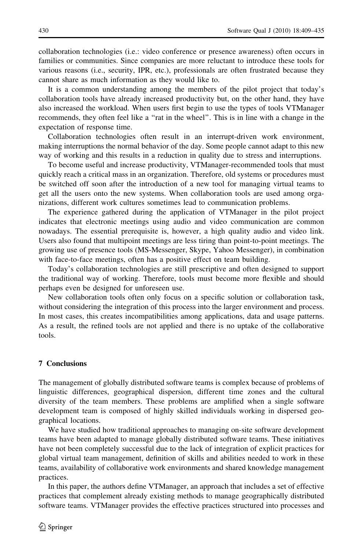collaboration technologies (i.e.: video conference or presence awareness) often occurs in families or communities. Since companies are more reluctant to introduce these tools for various reasons (i.e., security, IPR, etc.), professionals are often frustrated because they cannot share as much information as they would like to.

It is a common understanding among the members of the pilot project that today's collaboration tools have already increased productivity but, on the other hand, they have also increased the workload. When users first begin to use the types of tools VTManager recommends, they often feel like a ''rat in the wheel''. This is in line with a change in the expectation of response time.

Collaboration technologies often result in an interrupt-driven work environment, making interruptions the normal behavior of the day. Some people cannot adapt to this new way of working and this results in a reduction in quality due to stress and interruptions.

To become useful and increase productivity, VTManager-recommended tools that must quickly reach a critical mass in an organization. Therefore, old systems or procedures must be switched off soon after the introduction of a new tool for managing virtual teams to get all the users onto the new systems. When collaboration tools are used among organizations, different work cultures sometimes lead to communication problems.

The experience gathered during the application of VTManager in the pilot project indicates that electronic meetings using audio and video communication are common nowadays. The essential prerequisite is, however, a high quality audio and video link. Users also found that multipoint meetings are less tiring than point-to-point meetings. The growing use of presence tools (MS-Messenger, Skype, Yahoo Messenger), in combination with face-to-face meetings, often has a positive effect on team building.

Today's collaboration technologies are still prescriptive and often designed to support the traditional way of working. Therefore, tools must become more flexible and should perhaps even be designed for unforeseen use.

New collaboration tools often only focus on a specific solution or collaboration task, without considering the integration of this process into the larger environment and process. In most cases, this creates incompatibilities among applications, data and usage patterns. As a result, the refined tools are not applied and there is no uptake of the collaborative tools.

### 7 Conclusions

The management of globally distributed software teams is complex because of problems of linguistic differences, geographical dispersion, different time zones and the cultural diversity of the team members. These problems are amplified when a single software development team is composed of highly skilled individuals working in dispersed geographical locations.

We have studied how traditional approaches to managing on-site software development teams have been adapted to manage globally distributed software teams. These initiatives have not been completely successful due to the lack of integration of explicit practices for global virtual team management, definition of skills and abilities needed to work in these teams, availability of collaborative work environments and shared knowledge management practices.

In this paper, the authors define VTManager, an approach that includes a set of effective practices that complement already existing methods to manage geographically distributed software teams. VTManager provides the effective practices structured into processes and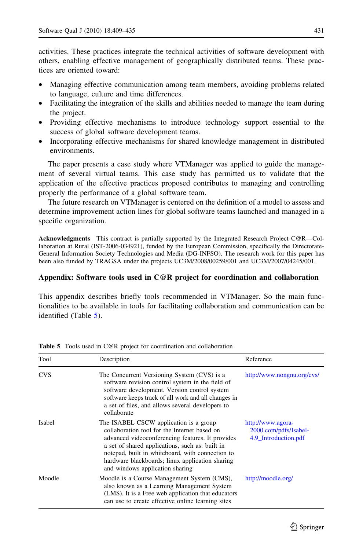activities. These practices integrate the technical activities of software development with others, enabling effective management of geographically distributed teams. These practices are oriented toward:

- Managing effective communication among team members, avoiding problems related to language, culture and time differences.
- Facilitating the integration of the skills and abilities needed to manage the team during the project.
- Providing effective mechanisms to introduce technology support essential to the success of global software development teams.
- Incorporating effective mechanisms for shared knowledge management in distributed environments.

The paper presents a case study where VTManager was applied to guide the management of several virtual teams. This case study has permitted us to validate that the application of the effective practices proposed contributes to managing and controlling properly the performance of a global software team.

The future research on VTManager is centered on the definition of a model to assess and determine improvement action lines for global software teams launched and managed in a specific organization.

Acknowledgments This contract is partially supported by the Integrated Research Project C@R—Collaboration at Rural (IST-2006-034921), funded by the European Commission, specifically the Directorate-General Information Society Technologies and Media (DG-INFSO). The research work for this paper has been also funded by TRAGSA under the projects UC3M/2008/00259/001 and UC3M/2007/04245/001.

# Appendix: Software tools used in C@R project for coordination and collaboration

This appendix describes briefly tools recommended in VTManager. So the main functionalities to be available in tools for facilitating collaboration and communication can be identified (Table 5).

| Tool       | Description                                                                                                                                                                                                                                                                                                                             | Reference                                                          |
|------------|-----------------------------------------------------------------------------------------------------------------------------------------------------------------------------------------------------------------------------------------------------------------------------------------------------------------------------------------|--------------------------------------------------------------------|
| <b>CVS</b> | The Concurrent Versioning System (CVS) is a<br>software revision control system in the field of<br>software development. Version control system<br>software keeps track of all work and all changes in<br>a set of files, and allows several developers to<br>collaborate                                                               | http://www.nongnu.org/cvs/                                         |
| Isabel     | The ISABEL CSCW application is a group<br>collaboration tool for the Internet based on<br>advanced videoconferencing features. It provides<br>a set of shared applications, such as: built in<br>notepad, built in whiteboard, with connection to<br>hardware blackboards; linux application sharing<br>and windows application sharing | http://www.agora-<br>2000.com/pdfs/Isabel-<br>4.9_Introduction.pdf |
| Moodle     | Moodle is a Course Management System (CMS),<br>also known as a Learning Management System<br>(LMS). It is a Free web application that educators<br>can use to create effective online learning sites                                                                                                                                    | http://moodle.org/                                                 |

Table 5 Tools used in C@R project for coordination and collaboration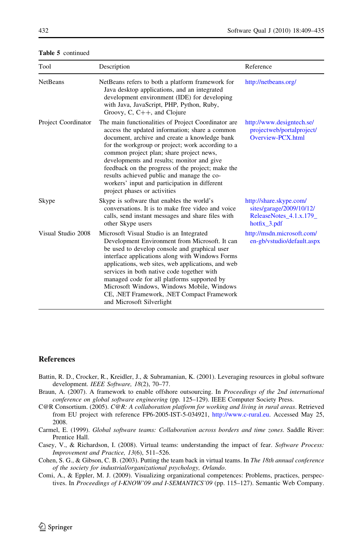<span id="page-23-0"></span>

| <b>Table 5</b> continued |  |
|--------------------------|--|
|--------------------------|--|

| Tool                | Description                                                                                                                                                                                                                                                                                                                                                                                                                                                                               | Reference                                                                                        |
|---------------------|-------------------------------------------------------------------------------------------------------------------------------------------------------------------------------------------------------------------------------------------------------------------------------------------------------------------------------------------------------------------------------------------------------------------------------------------------------------------------------------------|--------------------------------------------------------------------------------------------------|
| <b>NetBeans</b>     | NetBeans refers to both a platform framework for<br>Java desktop applications, and an integrated<br>development environment (IDE) for developing<br>with Java, JavaScript, PHP, Python, Ruby,<br>Groovy, C, $C_{++}$ , and Clojure                                                                                                                                                                                                                                                        | http://netbeans.org/                                                                             |
| Project Coordinator | The main functionalities of Project Coordinator are<br>access the updated information; share a common<br>document, archive and create a knowledge bank<br>for the workgroup or project; work according to a<br>common project plan; share project news,<br>developments and results; monitor and give<br>feedback on the progress of the project; make the<br>results achieved public and manage the co-<br>workers' input and participation in different<br>project phases or activities | http://www.designtech.se/<br>projectweb/portalproject/<br>Overview-PCX.html                      |
| Skype               | Skype is software that enables the world's<br>conversations. It is to make free video and voice<br>calls, send instant messages and share files with<br>other Skype users                                                                                                                                                                                                                                                                                                                 | http://share.skype.com/<br>sites/garage/2009/10/12/<br>ReleaseNotes_4.1.x.179_<br>$hotfix_3.pdf$ |
| Visual Studio 2008  | Microsoft Visual Studio is an Integrated<br>Development Environment from Microsoft. It can<br>be used to develop console and graphical user<br>interface applications along with Windows Forms<br>applications, web sites, web applications, and web<br>services in both native code together with<br>managed code for all platforms supported by<br>Microsoft Windows, Windows Mobile, Windows<br>CE, .NET Framework, .NET Compact Framework<br>and Microsoft Silverlight                | http://msdn.microsoft.com/<br>en-gb/vstudio/default.aspx                                         |

### References

- Battin, R. D., Crocker, R., Kreidler, J., & Subramanian, K. (2001). Leveraging resources in global software development. IEEE Software, 18(2), 70-77.
- Braun, A. (2007). A framework to enable offshore outsourcing. In *Proceedings of the 2nd international* conference on global software engineering (pp. 125–129). IEEE Computer Society Press.
- C@R Consortium. (2005). C@R: A collaboration platform for working and living in rural areas. Retrieved from EU project with reference FP6-2005-IST-5-034921, [http://www.c-rural.eu.](http://www.c-rural.eu) Accessed May 25, 2008.
- Carmel, E. (1999). Global software teams: Collaboration across borders and time zones. Saddle River: Prentice Hall.
- Casey, V., & Richardson, I. (2008). Virtual teams: understanding the impact of fear. Software Process: Improvement and Practice, 13(6), 511–526.
- Cohen, S. G., & Gibson, C. B. (2003). Putting the team back in virtual teams. In The 18th annual conference of the society for industrial/organizational psychology, Orlando.
- Comi, A., & Eppler, M. J. (2009). Visualizing organizational competences: Problems, practices, perspectives. In Proceedings of I-KNOW'09 and I-SEMANTICS'09 (pp. 115–127). Semantic Web Company.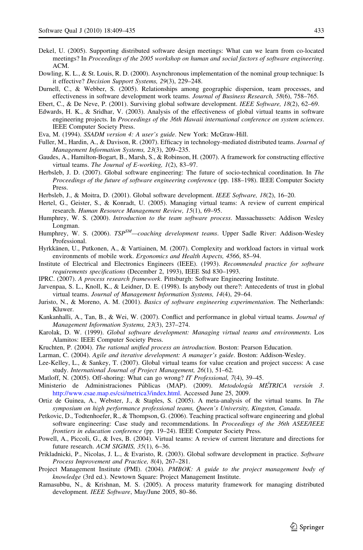- <span id="page-24-0"></span>Dekel, U. (2005). Supporting distributed software design meetings: What can we learn from co-located meetings? In Proceedings of the 2005 workshop on human and social factors of software engineering. ACM.
- Dowling, K. L., & St. Louis, R. D. (2000). Asynchronous implementation of the nominal group technique: Is it effective? Decision Support Systems, 29(3), 229–248.
- Durnell, C., & Webber, S. (2005). Relationships among geographic dispersion, team processes, and effectiveness in software development work teams. Journal of Business Research, 58(6), 758–765.

Ebert, C., & De Neve, P. (2001). Surviving global software development. IEEE Software, 18(2), 62–69.

- Edwards, H. K., & Sridhar, V. (2003). Analysis of the effectiveness of global virtual teams in software engineering projects. In *Proceedings of the 36th Hawaii international conference on system sciences*. IEEE Computer Society Press.
- Eva, M. (1994). SSADM version 4: A user's guide. New York: McGraw-Hill.
- Fuller, M., Hardin, A., & Davison, R. (2007). Efficacy in technology-mediated distributed teams. *Journal of* Management Information Systems, 23(3), 209–235.
- Gaudes, A., Hamilton-Bogart, B., Marsh, S., & Robinson, H. (2007). A framework for constructing effective virtual teams. The Journal of E-working, 1(2), 83–97.
- Herbsleb, J. D. (2007). Global software engineering: The future of socio-technical coordination. In The Proceedings of the future of software engineering conference (pp. 188–198). IEEE Computer Society Press.
- Herbsleb, J., & Moitra, D. (2001). Global software development. IEEE Software, 18(2), 16–20.
- Hertel, G., Geister, S., & Konradt, U. (2005). Managing virtual teams: A review of current empirical research. Human Resource Management Review, 15(1), 69–95.
- Humphrey, W. S. (2000). *Introduction to the team software process*. Massachussets: Addison Wesley Longman.
- Humphrey, W. S. (2006). TSP<sup>SM</sup>—coaching development teams. Upper Sadle River: Addison-Wesley Professional.
- Hyrkkänen, U., Putkonen, A., & Vartiainen, M. (2007). Complexity and workload factors in virtual work environments of mobile work. Ergonomics and Health Aspects, 4566, 85–94.
- Institute of Electrical and Electronics Engineers (IEEE). (1993). Recommended practice for software requirements specifications (December 2, 1993), IEEE Std 830–1993.
- IPRC. (2007). A process research framework. Pittsburgh: Software Engineering Institute.
- Jarvenpaa, S. L., Knoll, K., & Leidner, D. E. (1998). Is anybody out there?: Antecedents of trust in global virtual teams. Journal of Management Information Systems, 14(4), 29–64.
- Juristo, N., & Moreno, A. M. (2001). Basics of software engineering experimentation. The Netherlands: Kluwer.
- Kankanhalli, A., Tan, B., & Wei, W. (2007). Conflict and performance in global virtual teams. Journal of Management Information Systems, 23(3), 237–274.
- Karolak, D. W. (1999). Global software development: Managing virtual teams and environments. Los Alamitos: IEEE Computer Society Press.
- Kruchten, P. (2004). The rational unified process an introduction. Boston: Pearson Education.
- Larman, C. (2004). Agile and iterative development: A manager's guide. Boston: Addison-Wesley.
- Lee-Kelley, L., & Sankey, T. (2007). Global virtual teams for value creation and project success: A case study. International Journal of Project Management, 26(1), 51–62.
- Matloff, N. (2005). Off-shoring: What can go wrong? IT Professional, 7(4), 39-45.
- Ministerio de Administraciones Públicas (MAP). (2009). Metodología MÉTRICA versión 3. [http://www.csae.map.es/csi/metrica3/index.html.](http://www.csae.map.es/csi/metrica3/index.html) Accessed June 25, 2009.
- Ortiz de Guinea, A., Webster, J., & Staples, S. (2005). A meta-analysis of the virtual teams. In The symposium on high performance professional teams, Queen's University, Kingston, Canada.
- Petkovic, D., Todtenhoefer, R., & Thompson, G. (2006). Teaching practical software engineering and global software engineering: Case study and recommendations. In *Proceedings of the 36th ASEE/IEEE* frontiers in education conference (pp. 19–24). IEEE Computer Society Press.
- Powell, A., Piccoli, G., & Ives, B. (2004). Virtual teams: A review of current literature and directions for future research. ACM SIGMIS, 35(1), 6–36.
- Prikladnicki, P., Nicolas, J. L., & Evaristo, R. (2003). Global software development in practice. Software Process Improvement and Practice, 8(4), 267–281.
- Project Management Institute (PMI). (2004). PMBOK: A guide to the project management body of knowledge (3rd ed.). Newtown Square: Project Management Institute.
- Ramasubbu, N., & Krishnan, M. S. (2005). A process maturity framework for managing distributed development. IEEE Software, May/June 2005, 80–86.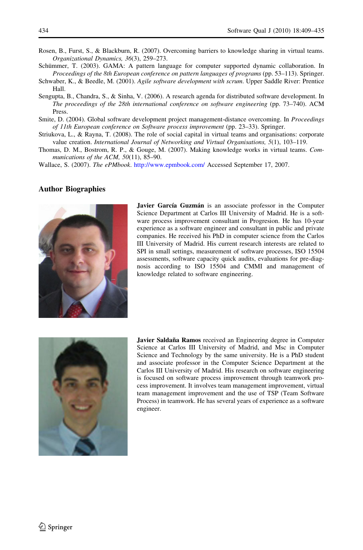- <span id="page-25-0"></span>Rosen, B., Furst, S., & Blackburn, R. (2007). Overcoming barriers to knowledge sharing in virtual teams. Organizational Dynamics, 36(3), 259–273.
- Schümmer, T. (2003). GAMA: A pattern language for computer supported dynamic collaboration. In Proceedings of the 8th European conference on pattern languages of programs (pp. 53–113). Springer.
- Schwaber, K., & Beedle, M. (2001). Agile software development with scrum. Upper Saddle River: Prentice Hall.
- Sengupta, B., Chandra, S., & Sinha, V. (2006). A research agenda for distributed software development. In The proceedings of the 28th international conference on software engineering (pp. 73–740). ACM Press.
- Smite, D. (2004). Global software development project management-distance overcoming. In Proceedings of 11th European conference on Software process improvement (pp. 23–33). Springer.
- Striukova, L., & Rayna, T. (2008). The role of social capital in virtual teams and organisations: corporate value creation. International Journal of Networking and Virtual Organisations, 5(1), 103-119.
- Thomas, D. M., Bostrom, R. P., & Gouge, M. (2007). Making knowledge works in virtual teams. Communications of the ACM, 50(11), 85-90.
- Wallace, S. (2007). The ePMbook. <http://www.epmbook.com/> Accessed September 17, 2007.

### Author Biographies



Javier García Guzmán is an associate professor in the Computer Science Department at Carlos III University of Madrid. He is a software process improvement consultant in Progresion. He has 10-year experience as a software engineer and consultant in public and private companies. He received his PhD in computer science from the Carlos III University of Madrid. His current research interests are related to SPI in small settings, measurement of software processes, ISO 15504 assessments, software capacity quick audits, evaluations for pre-diagnosis according to ISO 15504 and CMMI and management of knowledge related to software engineering.



Javier Saldaña Ramos received an Engineering degree in Computer Science at Carlos III University of Madrid, and Msc in Computer Science and Technology by the same university. He is a PhD student and associate professor in the Computer Science Department at the Carlos III University of Madrid. His research on software engineering is focused on software process improvement through teamwork process improvement. It involves team management improvement, virtual team management improvement and the use of TSP (Team Software Process) in teamwork. He has several years of experience as a software engineer.